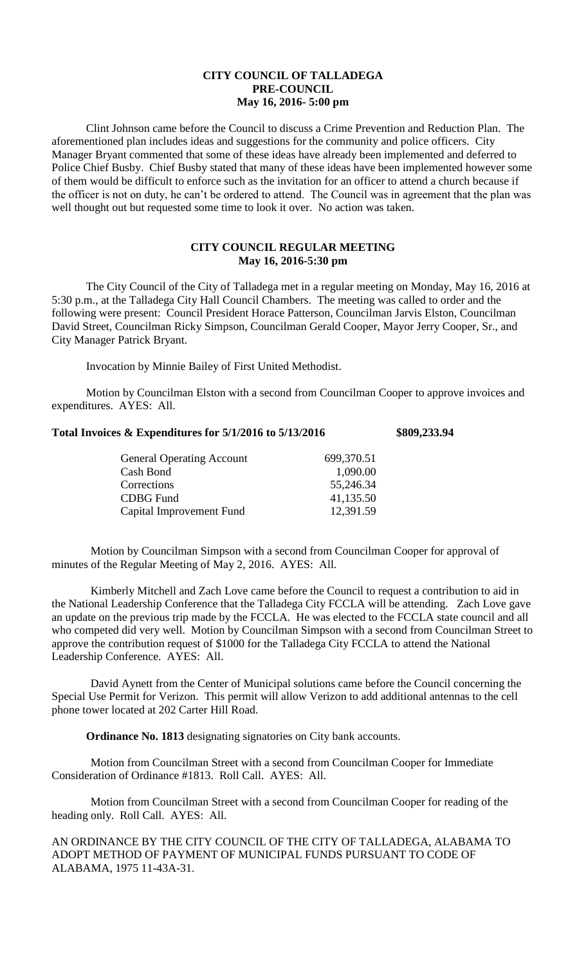## **CITY COUNCIL OF TALLADEGA PRE-COUNCIL May 16, 2016- 5:00 pm**

Clint Johnson came before the Council to discuss a Crime Prevention and Reduction Plan. The aforementioned plan includes ideas and suggestions for the community and police officers. City Manager Bryant commented that some of these ideas have already been implemented and deferred to Police Chief Busby. Chief Busby stated that many of these ideas have been implemented however some of them would be difficult to enforce such as the invitation for an officer to attend a church because if the officer is not on duty, he can't be ordered to attend. The Council was in agreement that the plan was well thought out but requested some time to look it over. No action was taken.

## **CITY COUNCIL REGULAR MEETING May 16, 2016-5:30 pm**

The City Council of the City of Talladega met in a regular meeting on Monday, May 16, 2016 at 5:30 p.m., at the Talladega City Hall Council Chambers. The meeting was called to order and the following were present: Council President Horace Patterson, Councilman Jarvis Elston, Councilman David Street, Councilman Ricky Simpson, Councilman Gerald Cooper, Mayor Jerry Cooper, Sr., and City Manager Patrick Bryant.

Invocation by Minnie Bailey of First United Methodist.

Motion by Councilman Elston with a second from Councilman Cooper to approve invoices and expenditures. AYES: All.

## **Total Invoices & Expenditures for 5/1/2016 to 5/13/2016 \$809,233.94**

| 699,370.51 |
|------------|
| 1,090.00   |
| 55,246.34  |
| 41,135.50  |
| 12,391.59  |
|            |

Motion by Councilman Simpson with a second from Councilman Cooper for approval of minutes of the Regular Meeting of May 2, 2016. AYES: All.

Kimberly Mitchell and Zach Love came before the Council to request a contribution to aid in the National Leadership Conference that the Talladega City FCCLA will be attending. Zach Love gave an update on the previous trip made by the FCCLA. He was elected to the FCCLA state council and all who competed did very well. Motion by Councilman Simpson with a second from Councilman Street to approve the contribution request of \$1000 for the Talladega City FCCLA to attend the National Leadership Conference. AYES: All.

David Aynett from the Center of Municipal solutions came before the Council concerning the Special Use Permit for Verizon. This permit will allow Verizon to add additional antennas to the cell phone tower located at 202 Carter Hill Road.

**Ordinance No. 1813** designating signatories on City bank accounts.

Motion from Councilman Street with a second from Councilman Cooper for Immediate Consideration of Ordinance #1813. Roll Call. AYES: All.

Motion from Councilman Street with a second from Councilman Cooper for reading of the heading only. Roll Call. AYES: All.

AN ORDINANCE BY THE CITY COUNCIL OF THE CITY OF TALLADEGA, ALABAMA TO ADOPT METHOD OF PAYMENT OF MUNICIPAL FUNDS PURSUANT TO CODE OF ALABAMA, 1975 11-43A-31.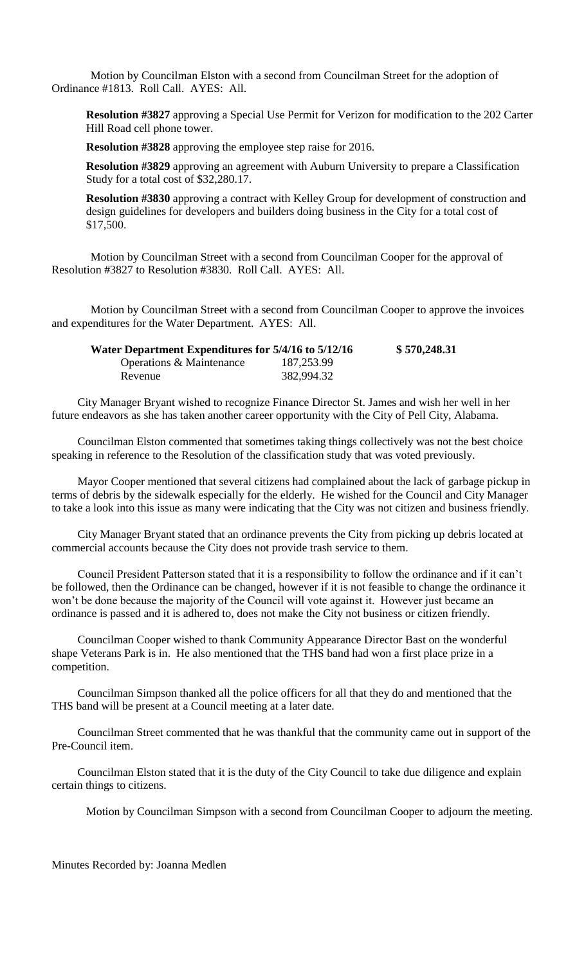Motion by Councilman Elston with a second from Councilman Street for the adoption of Ordinance #1813. Roll Call. AYES: All.

**Resolution #3827** approving a Special Use Permit for Verizon for modification to the 202 Carter Hill Road cell phone tower.

**Resolution #3828** approving the employee step raise for 2016.

**Resolution #3829** approving an agreement with Auburn University to prepare a Classification Study for a total cost of \$32,280.17.

**Resolution #3830** approving a contract with Kelley Group for development of construction and design guidelines for developers and builders doing business in the City for a total cost of \$17,500.

Motion by Councilman Street with a second from Councilman Cooper for the approval of Resolution #3827 to Resolution #3830. Roll Call. AYES: All.

Motion by Councilman Street with a second from Councilman Cooper to approve the invoices and expenditures for the Water Department. AYES: All.

| Water Department Expenditures for 5/4/16 to 5/12/16 |            | \$570,248.31 |
|-----------------------------------------------------|------------|--------------|
| <b>Operations &amp; Maintenance</b>                 | 187,253.99 |              |
| Revenue                                             | 382,994.32 |              |

City Manager Bryant wished to recognize Finance Director St. James and wish her well in her future endeavors as she has taken another career opportunity with the City of Pell City, Alabama.

Councilman Elston commented that sometimes taking things collectively was not the best choice speaking in reference to the Resolution of the classification study that was voted previously.

Mayor Cooper mentioned that several citizens had complained about the lack of garbage pickup in terms of debris by the sidewalk especially for the elderly. He wished for the Council and City Manager to take a look into this issue as many were indicating that the City was not citizen and business friendly.

City Manager Bryant stated that an ordinance prevents the City from picking up debris located at commercial accounts because the City does not provide trash service to them.

Council President Patterson stated that it is a responsibility to follow the ordinance and if it can't be followed, then the Ordinance can be changed, however if it is not feasible to change the ordinance it won't be done because the majority of the Council will vote against it. However just became an ordinance is passed and it is adhered to, does not make the City not business or citizen friendly.

Councilman Cooper wished to thank Community Appearance Director Bast on the wonderful shape Veterans Park is in. He also mentioned that the THS band had won a first place prize in a competition.

Councilman Simpson thanked all the police officers for all that they do and mentioned that the THS band will be present at a Council meeting at a later date.

Councilman Street commented that he was thankful that the community came out in support of the Pre-Council item.

Councilman Elston stated that it is the duty of the City Council to take due diligence and explain certain things to citizens.

Motion by Councilman Simpson with a second from Councilman Cooper to adjourn the meeting.

Minutes Recorded by: Joanna Medlen